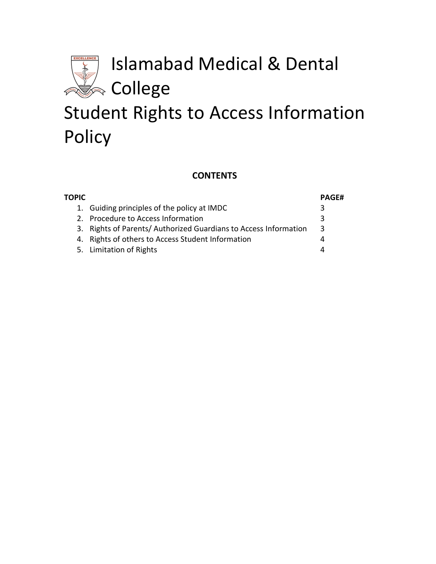# Islamabad Medical & Dental **A** College

# Student Rights to Access Information **Policy**

#### **CONTENTS**

| TOPIC |                                                                 | <b>PAGF#</b> |
|-------|-----------------------------------------------------------------|--------------|
|       | 1. Guiding principles of the policy at IMDC                     |              |
|       | 2. Procedure to Access Information                              | 3            |
|       | 3. Rights of Parents/Authorized Guardians to Access Information | 3            |
|       | 4. Rights of others to Access Student Information               | 4            |
|       | 5. Limitation of Rights                                         | Δ            |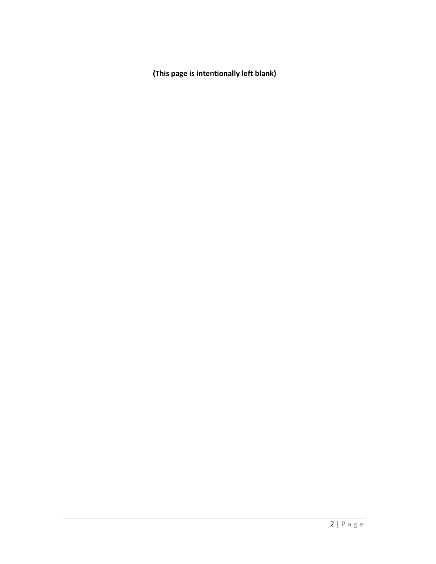**(This page is intentionally left blank)**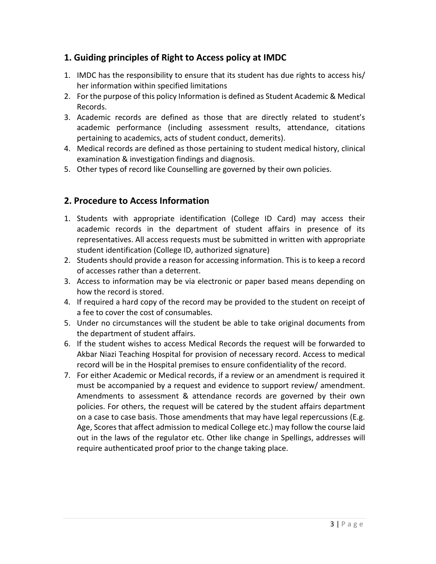## **1. Guiding principles of Right to Access policy at IMDC**

- 1. IMDC has the responsibility to ensure that its student has due rights to access his/ her information within specified limitations
- 2. For the purpose of this policy Information is defined as Student Academic & Medical Records.
- 3. Academic records are defined as those that are directly related to student's academic performance (including assessment results, attendance, citations pertaining to academics, acts of student conduct, demerits).
- 4. Medical records are defined as those pertaining to student medical history, clinical examination & investigation findings and diagnosis.
- 5. Other types of record like Counselling are governed by their own policies.

#### **2. Procedure to Access Information**

- 1. Students with appropriate identification (College ID Card) may access their academic records in the department of student affairs in presence of its representatives. All access requests must be submitted in written with appropriate student identification (College ID, authorized signature)
- 2. Students should provide a reason for accessing information. This is to keep a record of accesses rather than a deterrent.
- 3. Access to information may be via electronic or paper based means depending on how the record is stored.
- 4. If required a hard copy of the record may be provided to the student on receipt of a fee to cover the cost of consumables.
- 5. Under no circumstances will the student be able to take original documents from the department of student affairs.
- 6. If the student wishes to access Medical Records the request will be forwarded to Akbar Niazi Teaching Hospital for provision of necessary record. Access to medical record will be in the Hospital premises to ensure confidentiality of the record.
- 7. For either Academic or Medical records, if a review or an amendment is required it must be accompanied by a request and evidence to support review/ amendment. Amendments to assessment & attendance records are governed by their own policies. For others, the request will be catered by the student affairs department on a case to case basis. Those amendments that may have legal repercussions (E.g. Age, Scores that affect admission to medical College etc.) may follow the course laid out in the laws of the regulator etc. Other like change in Spellings, addresses will require authenticated proof prior to the change taking place.